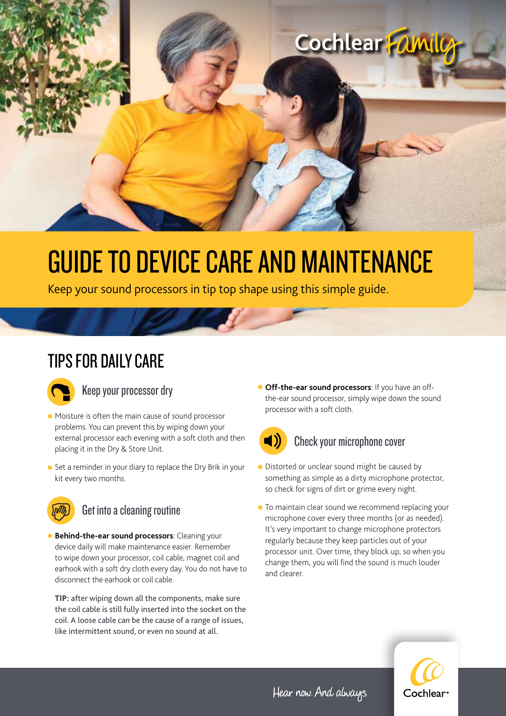

# GUIDE TO DEVICE CARE AND MAINTENANCE

Keep your sound processors in tip top shape using this simple guide.

## TIPS FOR DAILY CARE



#### Keep your processor dry

- Moisture is often the main cause of sound processor problems. You can prevent this by wiping down your external processor each evening with a soft cloth and then placing it in the Dry & Store Unit.
- Set a reminder in your diary to replace the Dry Brik in your kit every two months.



#### Get into a cleaning routine

**• Behind-the-ear sound processors**: Cleaning your device daily will make maintenance easier. Remember to wipe down your processor, coil cable, magnet coil and earhook with a soft dry cloth every day. You do not have to disconnect the earhook or coil cable.

**TIP:** after wiping down all the components, make sure the coil cable is still fully inserted into the socket on the coil. A loose cable can be the cause of a range of issues, like intermittent sound, or even no sound at all.

**• Off-the-ear sound processors**: If you have an offthe-ear sound processor, simply wipe down the sound processor with a soft cloth.



#### Check your microphone cover

- Distorted or unclear sound might be caused by something as simple as a dirty microphone protector, so check for signs of dirt or grime every night.
- To maintain clear sound we recommend replacing your microphone cover every three months (or as needed). It's very important to change microphone protectors regularly because they keep particles out of your processor unit. Over time, they block up, so when you change them, you will find the sound is much louder and clearer.



Hear now. And always